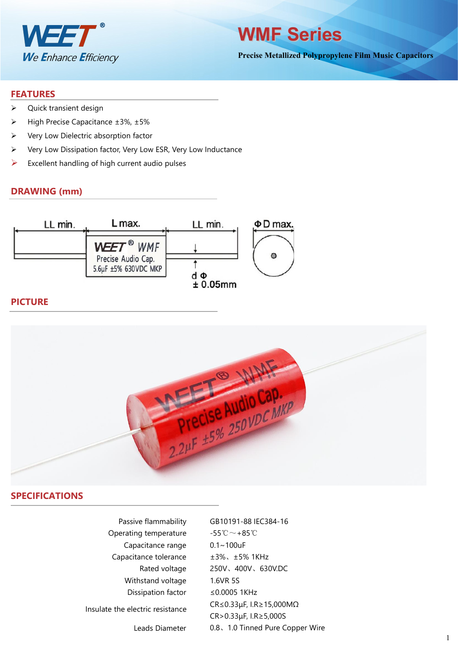

**WMF Series**

**Precise Metallized Polypropylene Film Music Capacitors**

#### **FEATURES**

- ▶ Quick transient design
- $\triangleright$  High Precise Capacitance ±3%, ±5%
- $\triangleright$  Very Low Dielectric absorption factor
- Very Low Dissipation factor, Very Low ESR, Very Low Inductance
- $\triangleright$  Excellent handling of high current audio pulses

#### **DRAWING (mm)**



### **PICTURE**



#### **SPECIFICATIONS**

| Passive flammability             | GB10191-88 IEC                                 |
|----------------------------------|------------------------------------------------|
| Operating temperature            | $-55^{\circ}\text{C} \sim +85^{\circ}\text{C}$ |
| Capacitance range                | $0.1 - 100$ uF                                 |
| Capacitance tolerance            | ±3%、±5% 1KH                                    |
| Rated voltage                    | 250V、400V、6                                    |
| Withstand voltage                | 1.6VR 5S                                       |
| Dissipation factor               | ≤0.0005 1KHz                                   |
| Insulate the electric resistance | CR≤0.33µF, I.R≥                                |
|                                  | CR>0.33µF, I.R≥                                |
| Leads Diameter                   | 0.8、1.0 Tinned                                 |
|                                  |                                                |

Passive flammability GB10191-88 IEC384-16 -55℃~+85℃  $0.1 \sim 100$ uF  $±3\%$ 、 $±5\%$  1KHz 250V、400V、630V.DC 1.6VR 5S ≤0.0005 1KHz CR≤0.33μF, I.R≥15,000MΩ CR>0.33μF, I.R≥5,000S 0.8、1.0 Tinned Pure Copper Wire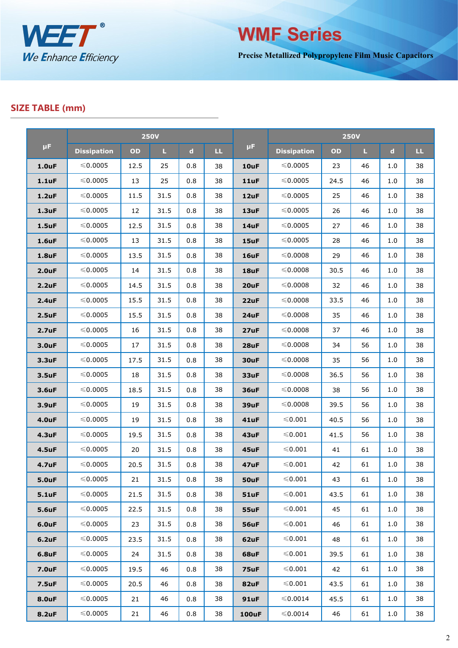

**WMF Series**

**Precise Metallized Polypropylene Film Music Capacitors**

## **SIZE TABLE (mm)**

|                    | <b>250V</b>        |      |      |             |              |              | <b>250V</b>        |      |    |             |     |
|--------------------|--------------------|------|------|-------------|--------------|--------------|--------------------|------|----|-------------|-----|
| $\mu$ F            | <b>Dissipation</b> | OD   | L.   | $\mathbf d$ | $\mathbf{L}$ | $\mu$ F      | <b>Dissipation</b> | OD   | L. | $\mathbf d$ | LL. |
| 1.0uF              | $\leqslant$ 0.0005 | 12.5 | 25   | 0.8         | 38           | 10uF         | $\leqslant$ 0.0005 | 23   | 46 | 1.0         | 38  |
| $1.1$ uF           | ≤0.0005            | 13   | 25   | 0.8         | 38           | 11uF         | ≤0.0005            | 24.5 | 46 | 1.0         | 38  |
| $1.2$ uF           | ≤0.0005            | 11.5 | 31.5 | 0.8         | 38           | 12uF         | ≤0.0005            | 25   | 46 | 1.0         | 38  |
| $1.3$ uF           | ≤0.0005            | 12   | 31.5 | 0.8         | 38           | 13uF         | ≤0.0005            | 26   | 46 | 1.0         | 38  |
| $1.5$ uF           | ≤0.0005            | 12.5 | 31.5 | 0.8         | 38           | 14uF         | ≤0.0005            | 27   | 46 | 1.0         | 38  |
| 1.6uF              | ≤0.0005            | 13   | 31.5 | 0.8         | 38           | 15uF         | ≤0.0005            | 28   | 46 | 1.0         | 38  |
| <b>1.8uF</b>       | ≤0.0005            | 13.5 | 31.5 | 0.8         | 38           | 16uF         | ≤0.0008            | 29   | 46 | 1.0         | 38  |
| 2.0 <sub>u</sub> F | ≤0.0005            | 14   | 31.5 | 0.8         | 38           | 18uF         | ≤0.0008            | 30.5 | 46 | 1.0         | 38  |
| 2.2uF              | ≤0.0005            | 14.5 | 31.5 | 0.8         | 38           | 20uF         | ≤0.0008            | 32   | 46 | 1.0         | 38  |
| 2.4uF              | ≤0.0005            | 15.5 | 31.5 | 0.8         | 38           | 22uF         | ≤0.0008            | 33.5 | 46 | 1.0         | 38  |
| $2.5$ uF           | ≤0.0005            | 15.5 | 31.5 | 0.8         | 38           | 24uF         | ≤0.0008            | 35   | 46 | 1.0         | 38  |
| 2.7 <sub>u</sub> F | $\leqslant$ 0.0005 | 16   | 31.5 | 0.8         | 38           | 27uF         | ≤0.0008            | 37   | 46 | 1.0         | 38  |
| 3.0uF              | ≤0.0005            | 17   | 31.5 | 0.8         | 38           | 28uF         | ≤0.0008            | 34   | 56 | 1.0         | 38  |
| 3.3uF              | ≤0.0005            | 17.5 | 31.5 | 0.8         | 38           | 30uF         | ≤0.0008            | 35   | 56 | 1.0         | 38  |
| 3.5uF              | ≤0.0005            | 18   | 31.5 | 0.8         | 38           | 33uF         | ≤0.0008            | 36.5 | 56 | 1.0         | 38  |
| 3.6uF              | ≤0.0005            | 18.5 | 31.5 | 0.8         | 38           | 36uF         | ≤0.0008            | 38   | 56 | 1.0         | 38  |
| 3.9uF              | $\leqslant$ 0.0005 | 19   | 31.5 | 0.8         | 38           | 39uF         | $\leqslant$ 0.0008 | 39.5 | 56 | 1.0         | 38  |
| <b>4.0uF</b>       | ≤0.0005            | 19   | 31.5 | 0.8         | 38           | 41uF         | ≤0.001             | 40.5 | 56 | 1.0         | 38  |
| <b>4.3uF</b>       | ≤0.0005            | 19.5 | 31.5 | 0.8         | 38           | 43uF         | ≤0.001             | 41.5 | 56 | 1.0         | 38  |
| <b>4.5uF</b>       | ≤0.0005            | 20   | 31.5 | 0.8         | 38           | 45uF         | ≤0.001             | 41   | 61 | 1.0         | 38  |
| <b>4.7uF</b>       | ≤0.0005            | 20.5 | 31.5 | 0.8         | 38           | 47uF         | ≤0.001             | 42   | 61 | 1.0         | 38  |
| <b>5.0uF</b>       | ≤0.0005            | 21   | 31.5 | 0.8         | 38           | 50uF         | ${\leq}0.001$      | 43   | 61 | 1.0         | 38  |
| <b>5.1uF</b>       | ≤0.0005            | 21.5 | 31.5 | 0.8         | 38           | <b>51uF</b>  | $\leqslant 0.001$  | 43.5 | 61 | 1.0         | 38  |
| <b>5.6uF</b>       | ≤0.0005            | 22.5 | 31.5 | 0.8         | 38           | 55uF         | $\leqslant 0.001$  | 45   | 61 | 1.0         | 38  |
| <b>6.0uF</b>       | ≤0.0005            | 23   | 31.5 | 0.8         | 38           | 56uF         | $\leqslant$ 0.001  | 46   | 61 | 1.0         | 38  |
| $6.2$ uF           | ≤0.0005            | 23.5 | 31.5 | 0.8         | 38           | 62uF         | $≤0.001$           | 48   | 61 | 1.0         | 38  |
| <b>6.8uF</b>       | ≤0.0005            | 24   | 31.5 | 0.8         | 38           | 68uF         | ≤0.001             | 39.5 | 61 | 1.0         | 38  |
| <b>7.0uF</b>       | ≤0.0005            | 19.5 | 46   | 0.8         | 38           | 75uF         | $≤0.001$           | 42   | 61 | 1.0         | 38  |
| <b>7.5uF</b>       | ≤0.0005            | 20.5 | 46   | 0.8         | 38           | 82uF         | $≤0.001$           | 43.5 | 61 | 1.0         | 38  |
| <b>8.0uF</b>       | ≤0.0005            | 21   | 46   | 0.8         | 38           | 91uF         | ≤0.0014            | 45.5 | 61 | 1.0         | 38  |
| <b>8.2uF</b>       | ≤0.0005            | 21   | 46   | 0.8         | 38           | <b>100uF</b> | ≤0.0014            | 46   | 61 | 1.0         | 38  |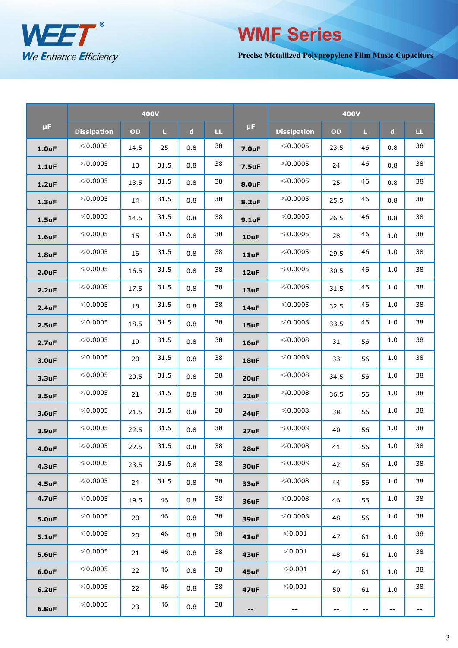

# ≤0.0005 22.5 46 0.8 38 **-- --** -- **-- -- -- WMF Series**

**Precise Metallized Polypropylene Film Music Capacitors**

|                    | <b>400V</b>        |      |      |             |              |              | <b>400V</b>        |      |              |             |     |
|--------------------|--------------------|------|------|-------------|--------------|--------------|--------------------|------|--------------|-------------|-----|
| μF.                | <b>Dissipation</b> | OD   | L.   | $\mathbf d$ | $\mathbf{L}$ | μF.          | <b>Dissipation</b> | OD   | $\mathbf{L}$ | $\mathbf d$ | LL. |
| 1.0 <sub>u</sub> F | $\leqslant$ 0.0005 | 14.5 | 25   | 0.8         | 38           | <b>7.0uF</b> | $\leqslant$ 0.0005 | 23.5 | 46           | 0.8         | 38  |
| $1.1$ uF           | $\leqslant$ 0.0005 | 13   | 31.5 | 0.8         | 38           | <b>7.5uF</b> | $\leqslant$ 0.0005 | 24   | 46           | 0.8         | 38  |
| $1.2$ uF           | ≤0.0005            | 13.5 | 31.5 | 0.8         | 38           | <b>8.0uF</b> | $\leqslant$ 0.0005 | 25   | 46           | 0.8         | 38  |
| $1.3$ uF           | ≤0.0005            | 14   | 31.5 | 0.8         | 38           | 8.2uF        | ≤0.0005            | 25.5 | 46           | 0.8         | 38  |
| $1.5$ uF           | ≤0.0005            | 14.5 | 31.5 | 0.8         | 38           | $9.1$ uF     | $\leqslant$ 0.0005 | 26.5 | 46           | 0.8         | 38  |
| 1.6uF              | ≤0.0005            | 15   | 31.5 | 0.8         | 38           | 10uF         | ≤0.0005            | 28   | 46           | 1.0         | 38  |
| 1.8uF              | $\leqslant$ 0.0005 | 16   | 31.5 | 0.8         | 38           | 11uF         | $\leqslant$ 0.0005 | 29.5 | 46           | 1.0         | 38  |
| 2.0uF              | $\leqslant$ 0.0005 | 16.5 | 31.5 | 0.8         | 38           | 12uF         | $\leqslant$ 0.0005 | 30.5 | 46           | 1.0         | 38  |
| 2.2uF              | $\leqslant$ 0.0005 | 17.5 | 31.5 | 0.8         | 38           | 13uF         | $\leqslant$ 0.0005 | 31.5 | 46           | 1.0         | 38  |
| 2.4uF              | ≤0.0005            | 18   | 31.5 | 0.8         | 38           | 14uF         | ≤0.0005            | 32.5 | 46           | 1.0         | 38  |
| 2.5uF              | $\leqslant$ 0.0005 | 18.5 | 31.5 | 0.8         | 38           | 15uF         | $\leqslant$ 0.0008 | 33.5 | 46           | 1.0         | 38  |
| 2.7 <sub>u</sub> F | $\leqslant$ 0.0005 | 19   | 31.5 | 0.8         | 38           | 16uF         | $\leqslant$ 0.0008 | 31   | 56           | 1.0         | 38  |
| 3.0uF              | $\leqslant$ 0.0005 | 20   | 31.5 | 0.8         | 38           | 18uF         | $\leqslant$ 0.0008 | 33   | 56           | 1.0         | 38  |
| 3.3uF              | ≤0.0005            | 20.5 | 31.5 | 0.8         | 38           | 20uF         | ≤0.0008            | 34.5 | 56           | 1.0         | 38  |
| 3.5uF              | ≤0.0005            | 21   | 31.5 | 0.8         | 38           | 22uF         | ≤0.0008            | 36.5 | 56           | 1.0         | 38  |
| 3.6uF              | $\leqslant$ 0.0005 | 21.5 | 31.5 | 0.8         | 38           | 24uF         | ≤0.0008            | 38   | 56           | 1.0         | 38  |
| 3.9uF              | ≤0.0005            | 22.5 | 31.5 | 0.8         | 38           | 27uF         | ≤0.0008            | 40   | 56           | 1.0         | 38  |
| <b>4.0uF</b>       | ≤0.0005            | 22.5 | 31.5 | $0.8\,$     | 38           | 28uF         | ≤ 0.0008           | 41   | 56           | 1.0         | 38  |
| <b>4.3uF</b>       | $\leqslant$ 0.0005 | 23.5 | 31.5 | 0.8         | 38           | 30uF         | $\leqslant$ 0.0008 | 42   | 56           | 1.0         | 38  |
| <b>4.5uF</b>       | $\leqslant$ 0.0005 | 24   | 31.5 | 0.8         | 38           | 33uF         | $\leqslant$ 0.0008 | 44   | 56           | 1.0         | 38  |
| <b>4.7uF</b>       | ≤0.0005            | 19.5 | 46   | 0.8         | 38           | 36uF         | $≤0.0008$          | 46   | 56           | 1.0         | 38  |
| <b>5.0uF</b>       | $\leqslant$ 0.0005 | 20   | 46   | 0.8         | 38           | 39uF         | ≤0.0008            | 48   | 56           | 1.0         | 38  |
| <b>5.1uF</b>       | ≤0.0005            | 20   | 46   | 0.8         | 38           | 41uF         | $\leqslant 0.001$  | 47   | 61           | 1.0         | 38  |
| <b>5.6uF</b>       | ≤0.0005            | 21   | 46   | 0.8         | 38           | 43uF         | $\leqslant 0.001$  | 48   | 61           | 1.0         | 38  |
| <b>6.0uF</b>       | ≤0.0005            | 22   | 46   | 0.8         | 38           | 45uF         | $\leqslant 0.001$  | 49   | 61           | 1.0         | 38  |
| <b>6.2uF</b>       | $\leqslant$ 0.0005 | 22   | 46   | 0.8         | 38           | 47uF         | $\leqslant 0.001$  | 50   | 61           | 1.0         | 38  |
| <b>6.8uF</b>       | $\leqslant$ 0.0005 | 23   | 46   | 0.8         | 38           | --           | --                 | --   | --           | --          | --  |
|                    |                    |      |      |             |              |              |                    |      |              |             |     |